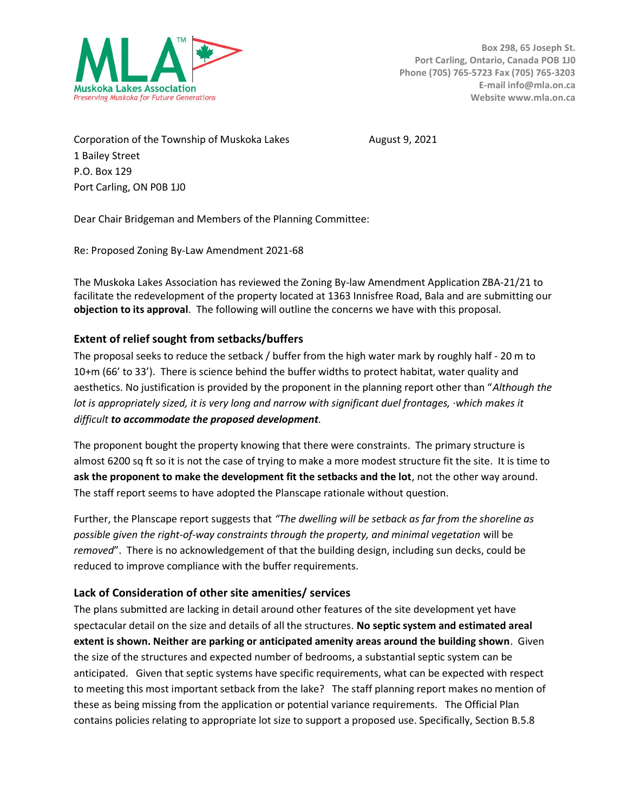

Corporation of the Township of Muskoka Lakes August 9, 2021 1 Bailey Street P.O. Box 129 Port Carling, ON P0B 1J0

Dear Chair Bridgeman and Members of the Planning Committee:

Re: Proposed Zoning By-Law Amendment 2021-68

The Muskoka Lakes Association has reviewed the Zoning By-law Amendment Application ZBA-21/21 to facilitate the redevelopment of the property located at 1363 Innisfree Road, Bala and are submitting our objection to its approval. The following will outline the concerns we have with this proposal.

# Extent of relief sought from setbacks/buffers

The proposal seeks to reduce the setback / buffer from the high water mark by roughly half - 20 m to 10+m (66' to 33'). There is science behind the buffer widths to protect habitat, water quality and aesthetics. No justification is provided by the proponent in the planning report other than "Although the lot is appropriately sized, it is very long and narrow with significant duel frontages, ·which makes it difficult to accommodate the proposed development.

The proponent bought the property knowing that there were constraints. The primary structure is almost 6200 sq ft so it is not the case of trying to make a more modest structure fit the site. It is time to ask the proponent to make the development fit the setbacks and the lot, not the other way around. The staff report seems to have adopted the Planscape rationale without question.

Further, the Planscape report suggests that "The dwelling will be setback as far from the shoreline as possible given the right-of-way constraints through the property, and minimal vegetation will be removed". There is no acknowledgement of that the building design, including sun decks, could be reduced to improve compliance with the buffer requirements.

# Lack of Consideration of other site amenities/ services

The plans submitted are lacking in detail around other features of the site development yet have spectacular detail on the size and details of all the structures. No septic system and estimated areal extent is shown. Neither are parking or anticipated amenity areas around the building shown. Given the size of the structures and expected number of bedrooms, a substantial septic system can be anticipated. Given that septic systems have specific requirements, what can be expected with respect to meeting this most important setback from the lake? The staff planning report makes no mention of these as being missing from the application or potential variance requirements. The Official Plan contains policies relating to appropriate lot size to support a proposed use. Specifically, Section B.5.8